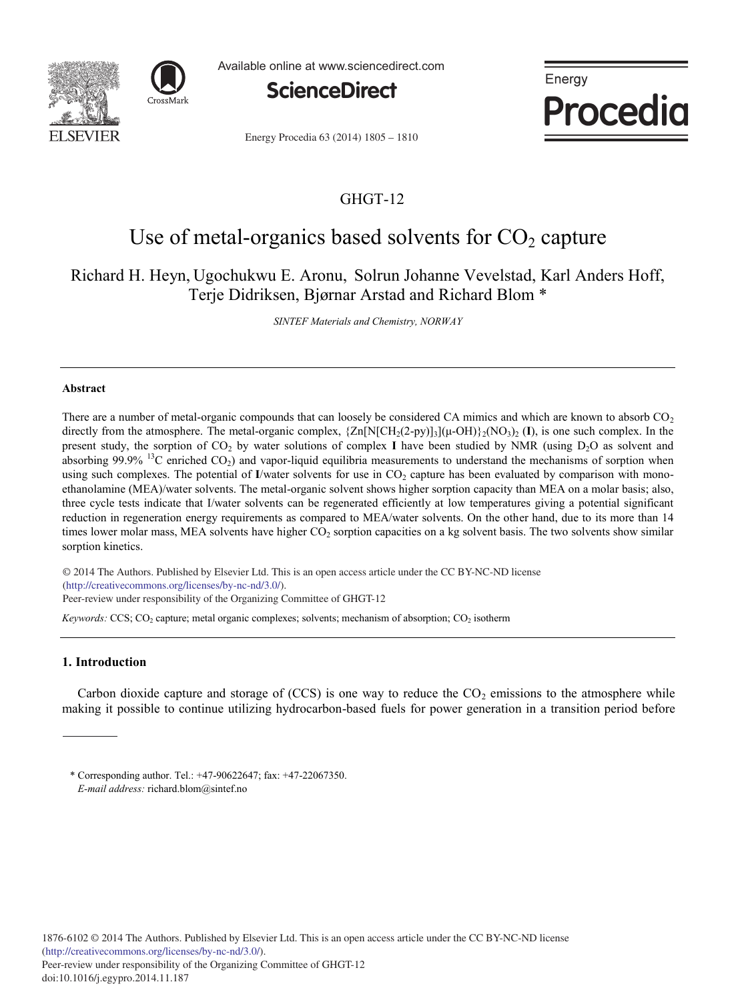



Available online at www.sciencedirect.com



Energy Procedia

Energy Procedia 63 (2014) 1805 - 1810

# GHGT-12

# Use of metal-organics based solvents for  $CO<sub>2</sub>$  capture

# Richard H. Heyn, Ugochukwu E. Aronu, Solrun Johanne Vevelstad, Karl Anders Hoff, Terje Didriksen, Bjørnar Arstad and Richard Blom \*

*SINTEF Materials and Chemistry, NORWAY*

# **Abstract**

There are a number of metal-organic compounds that can loosely be considered CA mimics and which are known to absorb  $CO<sub>2</sub>$ directly from the atmosphere. The metal-organic complex,  $\{Zn[N[CH_2(2-py)]_3](\mu\text{-}OH)\}_2(NO_3)_2$  (I), is one such complex. In the present study, the sorption of  $CO<sub>2</sub>$  by water solutions of complex **I** have been studied by NMR (using  $D<sub>2</sub>O$  as solvent and absorbing  $99.9\%$  <sup>13</sup>C enriched CO<sub>2</sub>) and vapor-liquid equilibria measurements to understand the mechanisms of sorption when using such complexes. The potential of **I**/water solvents for use in  $CO<sub>2</sub>$  capture has been evaluated by comparison with monoethanolamine (MEA)/water solvents. The metal-organic solvent shows higher sorption capacity than MEA on a molar basis; also, three cycle tests indicate that I/water solvents can be regenerated efficiently at low temperatures giving a potential significant reduction in regeneration energy requirements as compared to MEA/water solvents. On the other hand, due to its more than 14 times lower molar mass, MEA solvents have higher  $CO<sub>2</sub>$  sorption capacities on a kg solvent basis. The two solvents show similar sorption kinetics.

© 2013 The Authors. Published by Elsevier Ltd. © 2014 The Authors. Published by Elsevier Ltd. This is an open access article under the CC BY-NC-ND license (http://creativecommons.org/licenses/by-nc-nd/3.0/). Peer-review under responsibility of the Organizing Committee of GHGT-12

*Keywords:* CCS; CO<sub>2</sub> capture; metal organic complexes; solvents; mechanism of absorption; CO<sub>2</sub> isotherm

# **1. Introduction**

Carbon dioxide capture and storage of (CCS) is one way to reduce the  $CO<sub>2</sub>$  emissions to the atmosphere while making it possible to continue utilizing hydrocarbon-based fuels for power generation in a transition period before

<sup>\*</sup> Corresponding author. Tel.: +47-90622647; fax: +47-22067350. *E-mail address:* richard.blom@sintef.no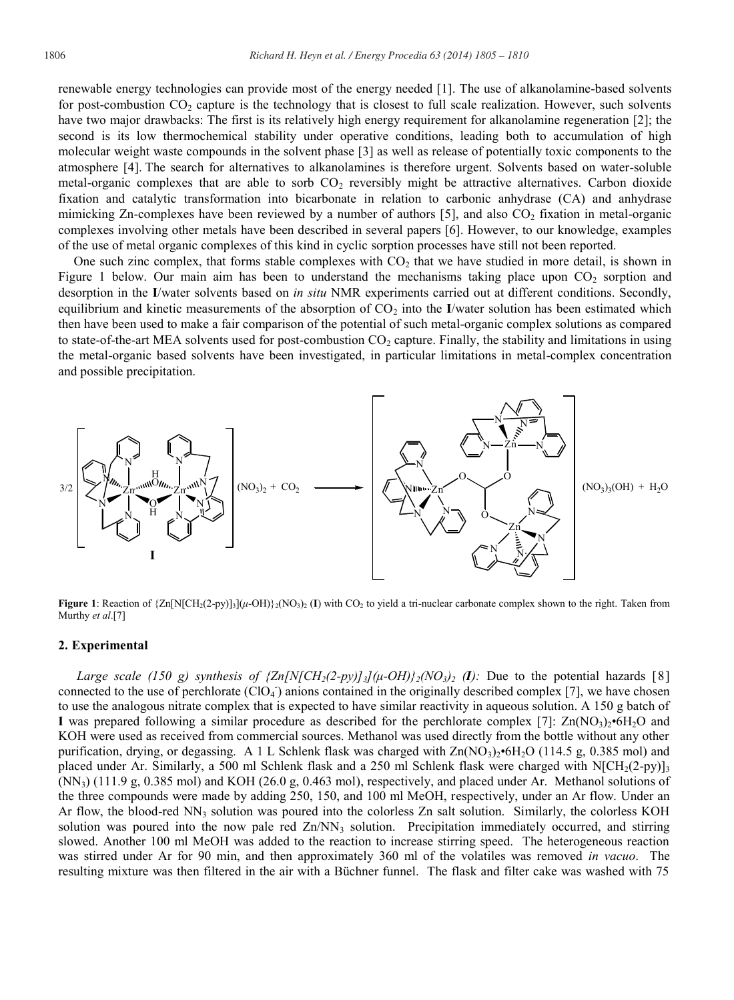renewable energy technologies can provide most of the energy needed [1]. The use of alkanolamine-based solvents for post-combustion  $CO_2$  capture is the technology that is closest to full scale realization. However, such solvents have two major drawbacks: The first is its relatively high energy requirement for alkanolamine regeneration [2]; the second is its low thermochemical stability under operative conditions, leading both to accumulation of high molecular weight waste compounds in the solvent phase [3] as well as release of potentially toxic components to the atmosphere [4]. The search for alternatives to alkanolamines is therefore urgent. Solvents based on water-soluble metal-organic complexes that are able to sorb  $CO<sub>2</sub>$  reversibly might be attractive alternatives. Carbon dioxide fixation and catalytic transformation into bicarbonate in relation to carbonic anhydrase (CA) and anhydrase mimicking Zn-complexes have been reviewed by a number of authors [5], and also CO<sub>2</sub> fixation in metal-organic complexes involving other metals have been described in several papers [6]. However, to our knowledge, examples of the use of metal organic complexes of this kind in cyclic sorption processes have still not been reported.

One such zinc complex, that forms stable complexes with  $CO<sub>2</sub>$  that we have studied in more detail, is shown in Figure 1 below. Our main aim has been to understand the mechanisms taking place upon  $CO_2$  sorption and desorption in the **I**/water solvents based on *in situ* NMR experiments carried out at different conditions. Secondly, equilibrium and kinetic measurements of the absorption of CO<sub>2</sub> into the **I**/water solution has been estimated which then have been used to make a fair comparison of the potential of such metal-organic complex solutions as compared to state-of-the-art MEA solvents used for post-combustion  $CO<sub>2</sub>$  capture. Finally, the stability and limitations in using the metal-organic based solvents have been investigated, in particular limitations in metal-complex concentration and possible precipitation.



**Figure 1**: Reaction of  $\{Zn[N[CH_2(2-py)]_3](\mu$ -OH) $\}$ <sub>2</sub>(NO<sub>3</sub>)<sub>2</sub> (**I**) with CO<sub>2</sub> to yield a tri-nuclear carbonate complex shown to the right. Taken from Murthy *et al*.[7]

#### **2. Experimental**

*Large scale (150 g) synthesis of*  $\{Zn/N/CH_2(2-py)\}\{(\mu\text{-}OH)\}^2\{NO_3\}$  *(I): Due to the potential hazards [8]* connected to the use of perchlorate  $(CIO<sub>4</sub>)$  anions contained in the originally described complex [7], we have chosen to use the analogous nitrate complex that is expected to have similar reactivity in aqueous solution. A 150 g batch of **I** was prepared following a similar procedure as described for the perchlorate complex [7]:  $\text{Zn}(NO_3)_{2} \cdot 6H_2O$  and KOH were used as received from commercial sources. Methanol was used directly from the bottle without any other purification, drying, or degassing. A 1 L Schlenk flask was charged with  $\text{Zn}(\text{NO}_3)$ <sup>2</sup>•6H<sub>2</sub>O (114.5 g, 0.385 mol) and placed under Ar. Similarly, a 500 ml Schlenk flask and a 250 ml Schlenk flask were charged with  $N[CH_2(2-py)]_3$ (NN3) (111.9 g, 0.385 mol) and KOH (26.0 g, 0.463 mol), respectively, and placed under Ar. Methanol solutions of the three compounds were made by adding 250, 150, and 100 ml MeOH, respectively, under an Ar flow. Under an Ar flow, the blood-red  $NN_3$  solution was poured into the colorless Zn salt solution. Similarly, the colorless KOH solution was poured into the now pale red  $\text{Zn}/\text{NN}_3$  solution. Precipitation immediately occurred, and stirring slowed. Another 100 ml MeOH was added to the reaction to increase stirring speed. The heterogeneous reaction was stirred under Ar for 90 min, and then approximately 360 ml of the volatiles was removed *in vacuo*. The resulting mixture was then filtered in the air with a Büchner funnel. The flask and filter cake was washed with 75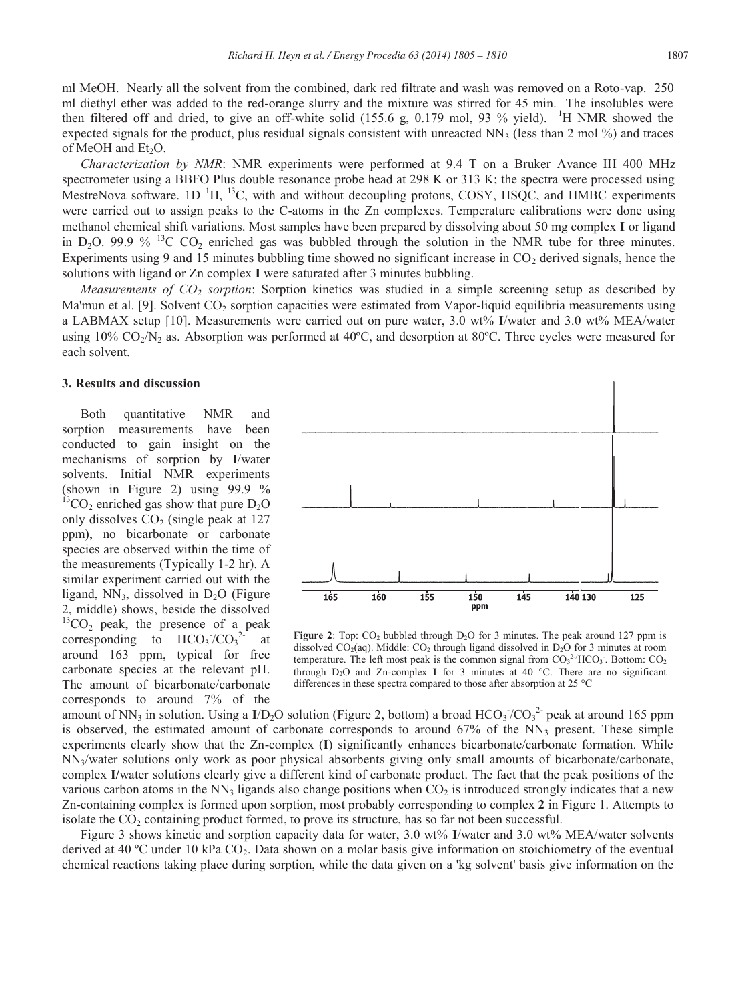ml MeOH. Nearly all the solvent from the combined, dark red filtrate and wash was removed on a Roto-vap. 250 ml diethyl ether was added to the red-orange slurry and the mixture was stirred for 45 min. The insolubles were then filtered off and dried, to give an off-white solid (155.6 g, 0.179 mol, 93 % yield). <sup>1</sup>H NMR showed the expected signals for the product, plus residual signals consistent with unreacted  $NN_3$  (less than 2 mol %) and traces of MeOH and Et<sub>2</sub>O.

*Characterization by NMR*: NMR experiments were performed at 9.4 T on a Bruker Avance III 400 MHz spectrometer using a BBFO Plus double resonance probe head at 298 K or 313 K; the spectra were processed using MestreNova software. 1D<sup>1</sup>H, <sup>13</sup>C, with and without decoupling protons, COSY, HSQC, and HMBC experiments were carried out to assign peaks to the C-atoms in the Zn complexes. Temperature calibrations were done using methanol chemical shift variations. Most samples have been prepared by dissolving about 50 mg complex **I** or ligand in D<sub>2</sub>O. 99.9 % <sup>13</sup>C CO<sub>2</sub> enriched gas was bubbled through the solution in the NMR tube for three minutes. Experiments using 9 and 15 minutes bubbling time showed no significant increase in  $CO<sub>2</sub>$  derived signals, hence the solutions with ligand or Zn complex **I** were saturated after 3 minutes bubbling.

*Measurements of CO<sub>2</sub> sorption*: Sorption kinetics was studied in a simple screening setup as described by Ma'mun et al. [9]. Solvent  $CO<sub>2</sub>$  sorption capacities were estimated from Vapor-liquid equilibria measurements using a LABMAX setup [10]. Measurements were carried out on pure water, 3.0 wt% **I**/water and 3.0 wt% MEA/water using  $10\%$  CO<sub>2</sub>/N<sub>2</sub> as. Absorption was performed at  $40^{\circ}$ C, and desorption at  $80^{\circ}$ C. Three cycles were measured for each solvent.

## **3. Results and discussion**

Both quantitative NMR and sorption measurements have been conducted to gain insight on the mechanisms of sorption by **I**/water solvents. Initial NMR experiments (shown in Figure 2) using 99.9 %  ${}^{13}CO_2$  enriched gas show that pure  $D_2O$ only dissolves  $CO<sub>2</sub>$  (single peak at 127) ppm), no bicarbonate or carbonate species are observed within the time of the measurements (Typically 1-2 hr). A similar experiment carried out with the ligand,  $NN_3$ , dissolved in  $D_2O$  (Figure 2, middle) shows, beside the dissolved  $^{13}CO<sub>2</sub>$  peak, the presence of a peak corresponding to  $HCO<sub>3</sub>/CO<sub>3</sub>$ 2- at around 163 ppm, typical for free carbonate species at the relevant pH. The amount of bicarbonate/carbonate corresponds to around 7% of the



**Figure 2**: Top:  $CO_2$  bubbled through  $D_2O$  for 3 minutes. The peak around 127 ppm is dissolved  $CO<sub>2</sub>(aq)$ . Middle:  $CO<sub>2</sub>$  through ligand dissolved in  $D<sub>2</sub>O$  for 3 minutes at room temperature. The left most peak is the common signal from  $CO<sub>3</sub><sup>2</sup>/HCO<sub>3</sub>$ . Bottom:  $CO<sub>2</sub>$ through  $D_2O$  and  $Zn$ -complex **I** for 3 minutes at 40 °C. There are no significant differences in these spectra compared to those after absorption at 25 °C

amount of NN<sub>3</sub> in solution. Using a  $I/D_2O$  solution (Figure 2, bottom) a broad  $HCO_3$ <sup>2</sup> peak at around 165 ppm is observed, the estimated amount of carbonate corresponds to around  $67\%$  of the NN<sub>3</sub> present. These simple experiments clearly show that the Zn-complex (**I**) significantly enhances bicarbonate/carbonate formation. While  $NN<sub>3</sub>/water$  solutions only work as poor physical absorbents giving only small amounts of bicarbonate/carbonate, complex **I/**water solutions clearly give a different kind of carbonate product. The fact that the peak positions of the various carbon atoms in the  $NN<sub>3</sub>$  ligands also change positions when  $CO<sub>2</sub>$  is introduced strongly indicates that a new Zn-containing complex is formed upon sorption, most probably corresponding to complex **2** in Figure 1. Attempts to isolate the  $CO<sub>2</sub>$  containing product formed, to prove its structure, has so far not been successful.

Figure 3 shows kinetic and sorption capacity data for water, 3.0 wt% **I**/water and 3.0 wt% MEA/water solvents derived at 40 °C under 10 kPa CO<sub>2</sub>. Data shown on a molar basis give information on stoichiometry of the eventual chemical reactions taking place during sorption, while the data given on a 'kg solvent' basis give information on the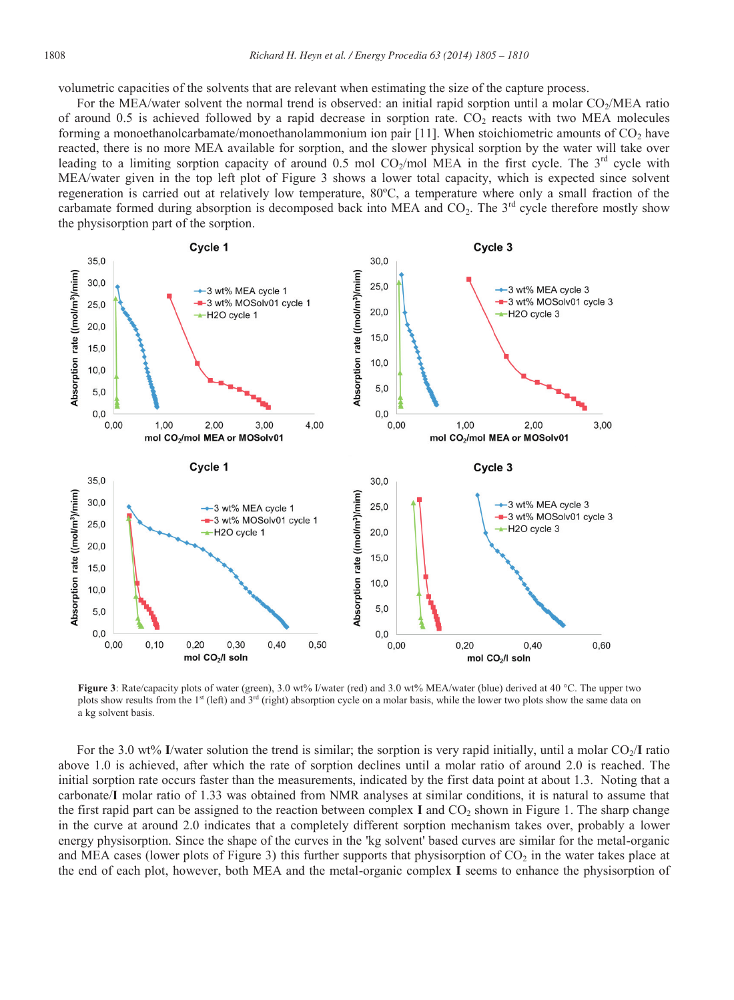volumetric capacities of the solvents that are relevant when estimating the size of the capture process.

For the MEA/water solvent the normal trend is observed: an initial rapid sorption until a molar CO<sub>2</sub>/MEA ratio of around 0.5 is achieved followed by a rapid decrease in sorption rate.  $CO<sub>2</sub>$  reacts with two MEA molecules forming a monoethanolcarbamate/monoethanolammonium ion pair [11]. When stoichiometric amounts of  $CO<sub>2</sub>$  have reacted, there is no more MEA available for sorption, and the slower physical sorption by the water will take over leading to a limiting sorption capacity of around  $0.5$  mol CO<sub>2</sub>/mol MEA in the first cycle. The 3<sup>rd</sup> cycle with MEA/water given in the top left plot of Figure 3 shows a lower total capacity, which is expected since solvent regeneration is carried out at relatively low temperature, 80ºC, a temperature where only a small fraction of the carbamate formed during absorption is decomposed back into MEA and  $CO<sub>2</sub>$ . The 3<sup>rd</sup> cycle therefore mostly show the physisorption part of the sorption.



**Figure 3**: Rate/capacity plots of water (green), 3.0 wt% I/water (red) and 3.0 wt% MEA/water (blue) derived at 40 °C. The upper two plots show results from the 1<sup>st</sup> (left) and 3<sup>rd</sup> (right) absorption cycle on a molar basis, while the lower two plots show the same data on a kg solvent basis.

For the 3.0 wt% I/water solution the trend is similar; the sorption is very rapid initially, until a molar CO<sub>2</sub>/I ratio above 1.0 is achieved, after which the rate of sorption declines until a molar ratio of around 2.0 is reached. The initial sorption rate occurs faster than the measurements, indicated by the first data point at about 1.3. Noting that a carbonate/**I** molar ratio of 1.33 was obtained from NMR analyses at similar conditions, it is natural to assume that the first rapid part can be assigned to the reaction between complex  $I$  and  $CO<sub>2</sub>$  shown in Figure 1. The sharp change in the curve at around 2.0 indicates that a completely different sorption mechanism takes over, probably a lower energy physisorption. Since the shape of the curves in the 'kg solvent' based curves are similar for the metal-organic and MEA cases (lower plots of Figure 3) this further supports that physisorption of  $CO<sub>2</sub>$  in the water takes place at the end of each plot, however, both MEA and the metal-organic complex **I** seems to enhance the physisorption of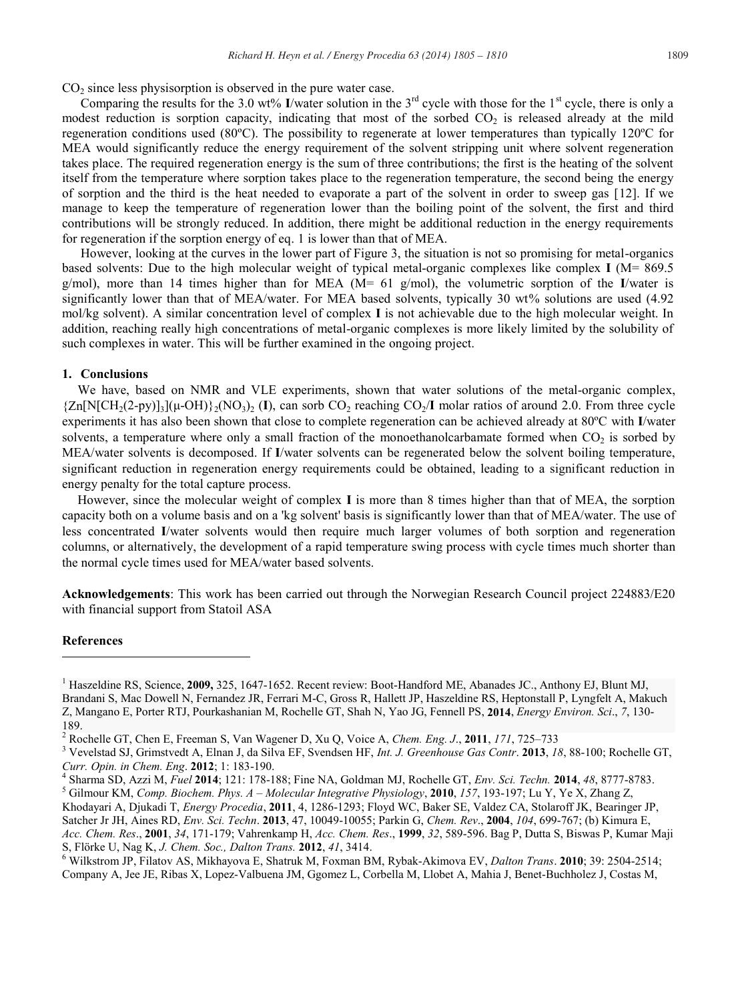$CO<sub>2</sub>$  since less physisorption is observed in the pure water case.

Comparing the results for the 3.0 wt% **I**/water solution in the  $3<sup>rd</sup>$  cycle with those for the  $1<sup>st</sup>$  cycle, there is only a modest reduction is sorption capacity, indicating that most of the sorbed  $CO<sub>2</sub>$  is released already at the mild regeneration conditions used (80ºC). The possibility to regenerate at lower temperatures than typically 120ºC for MEA would significantly reduce the energy requirement of the solvent stripping unit where solvent regeneration takes place. The required regeneration energy is the sum of three contributions; the first is the heating of the solvent itself from the temperature where sorption takes place to the regeneration temperature, the second being the energy of sorption and the third is the heat needed to evaporate a part of the solvent in order to sweep gas [12]. If we manage to keep the temperature of regeneration lower than the boiling point of the solvent, the first and third contributions will be strongly reduced. In addition, there might be additional reduction in the energy requirements for regeneration if the sorption energy of eq. 1 is lower than that of MEA.

However, looking at the curves in the lower part of Figure 3, the situation is not so promising for metal-organics based solvents: Due to the high molecular weight of typical metal-organic complexes like complex **I** (M= 869.5 g/mol), more than 14 times higher than for MEA (M= 61 g/mol), the volumetric sorption of the **I**/water is significantly lower than that of MEA/water. For MEA based solvents, typically 30 wt% solutions are used (4.92 mol/kg solvent). A similar concentration level of complex **I** is not achievable due to the high molecular weight. In addition, reaching really high concentrations of metal-organic complexes is more likely limited by the solubility of such complexes in water. This will be further examined in the ongoing project.

# **1. Conclusions**

We have, based on NMR and VLE experiments, shown that water solutions of the metal-organic complex,  ${Zn[N[CH_2(2-pv)]_3}$  ${(\mu$ -OH) ${}_2(NO_3)_{2}$  (I), can sorb CO<sub>2</sub> reaching CO<sub>2</sub>/I molar ratios of around 2.0. From three cycle experiments it has also been shown that close to complete regeneration can be achieved already at 80ºC with **I**/water solvents, a temperature where only a small fraction of the monoethanolcarbamate formed when  $CO<sub>2</sub>$  is sorbed by MEA/water solvents is decomposed. If **I**/water solvents can be regenerated below the solvent boiling temperature, significant reduction in regeneration energy requirements could be obtained, leading to a significant reduction in energy penalty for the total capture process.

However, since the molecular weight of complex **I** is more than 8 times higher than that of MEA, the sorption capacity both on a volume basis and on a 'kg solvent' basis is significantly lower than that of MEA/water. The use of less concentrated **I**/water solvents would then require much larger volumes of both sorption and regeneration columns, or alternatively, the development of a rapid temperature swing process with cycle times much shorter than the normal cycle times used for MEA/water based solvents.

**Acknowledgements**: This work has been carried out through the Norwegian Research Council project 224883/E20 with financial support from Statoil ASA

### **References**

-

<sup>1</sup> Haszeldine RS, Science, **2009,** 325, 1647-1652. Recent review: Boot-Handford ME, Abanades JC., Anthony EJ, Blunt MJ, Brandani S, Mac Dowell N, Fernandez JR, Ferrari M-C, Gross R, Hallett JP, Haszeldine RS, Heptonstall P, Lyngfelt A, Makuch Z, Mangano E, Porter RTJ, Pourkashanian M, Rochelle GT, Shah N, Yao JG, Fennell PS, **2014**, *Energy Environ. Sci*., *7*, 130-

<sup>189.&</sup>lt;br><sup>2</sup> Rochelle GT, Chen E, Freeman S, Van Wagener D, Xu Q, Voice A, Chem. Eng. J., 2011, 171, 725–733

<sup>&</sup>lt;sup>3</sup> Vevelstad SJ, Grimstvedt A, Elnan J, da Silva EF, Svendsen HF, Int. J. Greenhouse Gas Contr. 2013, 18, 88-100; Rochelle GT,

Curr. Opin. in Chem. Eng. 2012; 1: 183-190.<br><sup>4</sup> Sharma SD, Azzi M, *Fuel* 2014; 121: 178-188; Fine NA, Goldman MJ, Rochelle GT, *Env. Sci. Techn.* 2014, 48, 8777-8783.<br><sup>5</sup> Gilmour KM, *Comp. Biochem. Phys. A – Molecular In* 

Khodayari A, Djukadi T, *Energy Procedia*, **2011**, 4, 1286-1293; Floyd WC, Baker SE, Valdez CA, Stolaroff JK, Bearinger JP, Satcher Jr JH, Aines RD, *Env. Sci. Techn*. **2013**, 47, 10049-10055; Parkin G, *Chem. Rev*., **2004**, *104*, 699-767; (b) Kimura E, *Acc. Chem. Res*., **2001**, *34*, 171-179; Vahrenkamp H, *Acc. Chem. Res*., **1999**, *32*, 589-596. Bag P, Dutta S, Biswas P, Kumar Maji S, Flörke U, Nag K, *J. Chem. Soc., Dalton Trans.* **2012**, *41*, 3414. <sup>6</sup> Wilkstrom JP, Filatov AS, Mikhayova E, Shatruk M, Foxman BM, Rybak-Akimova EV, *Dalton Trans*. **2010**; 39: 2504-2514;

Company A, Jee JE, Ribas X, Lopez-Valbuena JM, Ggomez L, Corbella M, Llobet A, Mahia J, Benet-Buchholez J, Costas M,